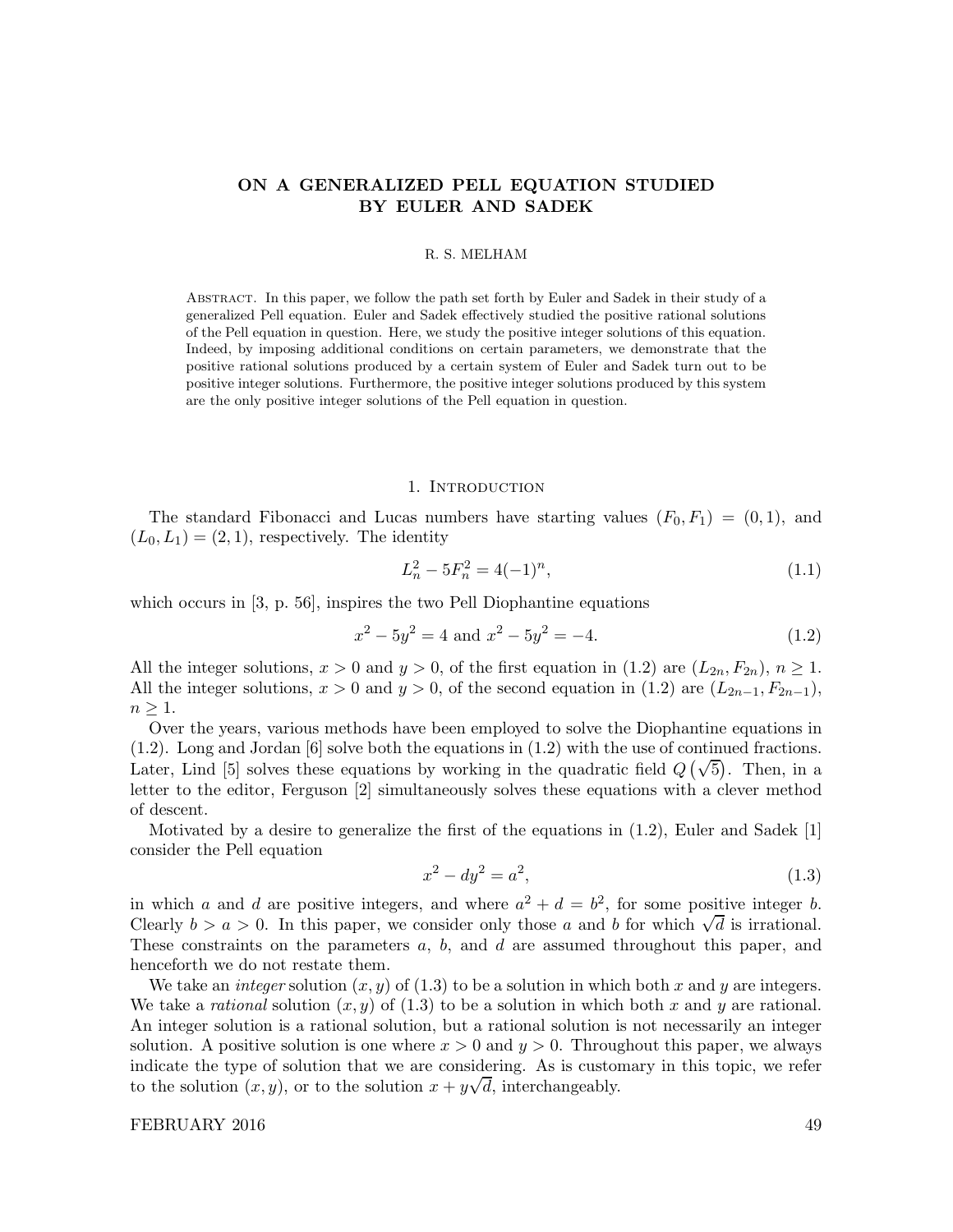# ON A GENERALIZED PELL EQUATION STUDIED BY EULER AND SADEK

## R. S. MELHAM

Abstract. In this paper, we follow the path set forth by Euler and Sadek in their study of a generalized Pell equation. Euler and Sadek effectively studied the positive rational solutions of the Pell equation in question. Here, we study the positive integer solutions of this equation. Indeed, by imposing additional conditions on certain parameters, we demonstrate that the positive rational solutions produced by a certain system of Euler and Sadek turn out to be positive integer solutions. Furthermore, the positive integer solutions produced by this system are the only positive integer solutions of the Pell equation in question.

#### 1. Introduction

The standard Fibonacci and Lucas numbers have starting values  $(F_0, F_1) = (0, 1)$ , and  $(L_0, L_1) = (2, 1)$ , respectively. The identity

$$
L_n^2 - 5F_n^2 = 4(-1)^n,\tag{1.1}
$$

which occurs in [3, p. 56], inspires the two Pell Diophantine equations

$$
x^2 - 5y^2 = 4 \text{ and } x^2 - 5y^2 = -4.
$$
 (1.2)

All the integer solutions,  $x > 0$  and  $y > 0$ , of the first equation in (1.2) are  $(L_{2n}, F_{2n})$ ,  $n \ge 1$ . All the integer solutions,  $x > 0$  and  $y > 0$ , of the second equation in (1.2) are  $(L_{2n-1}, F_{2n-1})$ ,  $n \geq 1$ .

Over the years, various methods have been employed to solve the Diophantine equations in (1.2). Long and Jordan [6] solve both the equations in (1.2) with the use of continued fractions. Later, Lind [5] solves these equations by working in the quadratic field  $Q(\sqrt{5})$ . Then, in a letter to the editor, Ferguson [2] simultaneously solves these equations with a clever method of descent.

Motivated by a desire to generalize the first of the equations in (1.2), Euler and Sadek [1] consider the Pell equation

$$
x^2 - dy^2 = a^2,
$$
\n(1.3)

in which a and d are positive integers, and where  $a^2 + d = b^2$ , for some positive integer b. Clearly  $b > a > 0$ . In this paper, we consider only those a and b for which  $\sqrt{d}$  is irrational. These constraints on the parameters a, b, and d are assumed throughout this paper, and henceforth we do not restate them.

We take an *integer* solution  $(x, y)$  of  $(1.3)$  to be a solution in which both x and y are integers. We take a rational solution  $(x, y)$  of  $(1.3)$  to be a solution in which both x and y are rational. An integer solution is a rational solution, but a rational solution is not necessarily an integer solution. A positive solution is one where  $x > 0$  and  $y > 0$ . Throughout this paper, we always indicate the type of solution that we are considering. As is customary in this topic, we refer to the solution  $(x, y)$ , or to the solution  $x + y\sqrt{d}$ , interchangeably.

## FEBRUARY 2016 49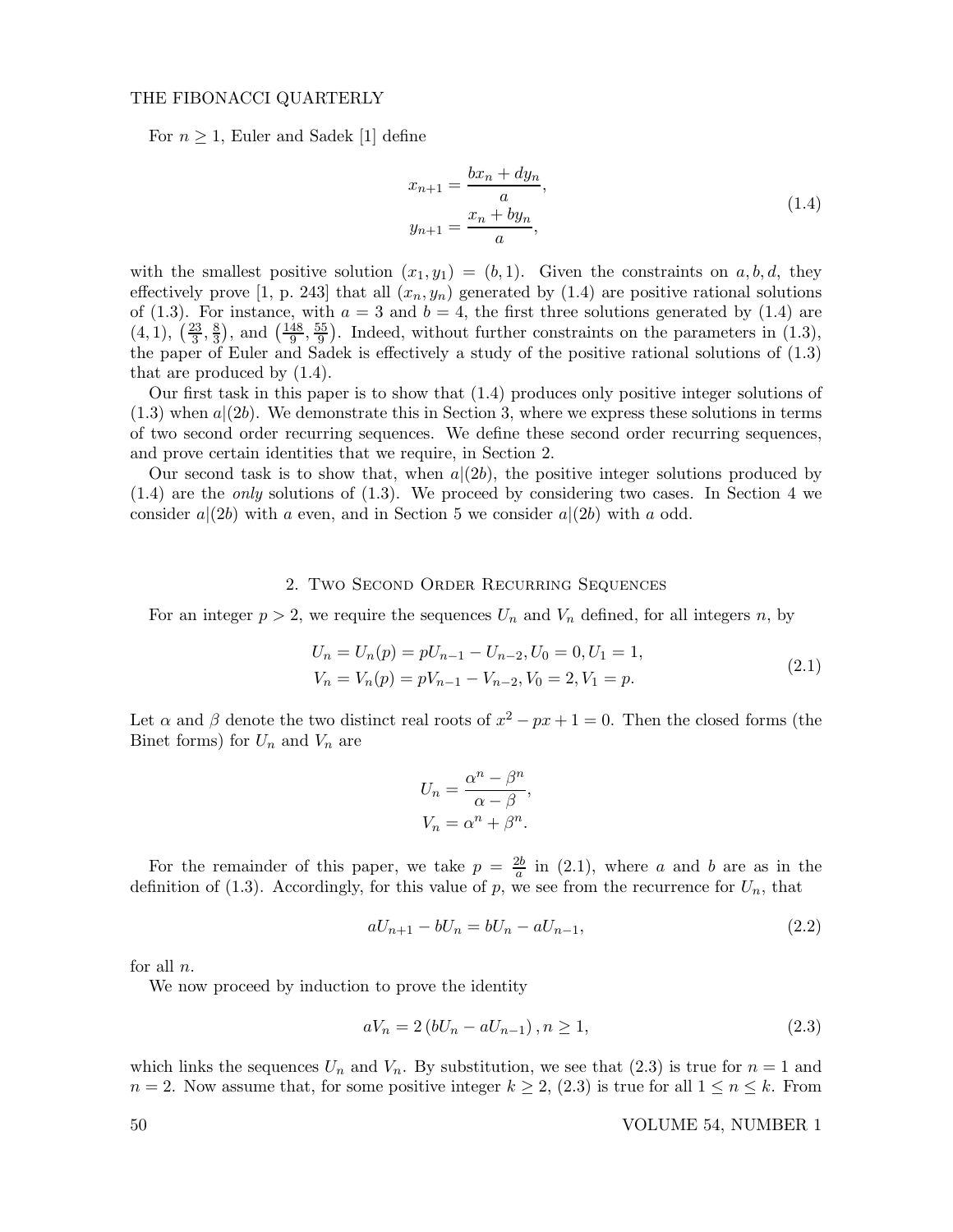## THE FIBONACCI QUARTERLY

For  $n \geq 1$ , Euler and Sadek [1] define

$$
x_{n+1} = \frac{bx_n + dy_n}{a},
$$
  
\n
$$
y_{n+1} = \frac{x_n + by_n}{a},
$$
\n(1.4)

with the smallest positive solution  $(x_1, y_1) = (b, 1)$ . Given the constraints on a, b, d, they effectively prove [1, p. 243] that all  $(x_n, y_n)$  generated by (1.4) are positive rational solutions of (1.3). For instance, with  $a = 3$  and  $b = 4$ , the first three solutions generated by (1.4) are  $(4, 1), (\frac{23}{3})$  $\frac{23}{3}, \frac{8}{3}$  $\left(\frac{8}{3}\right)$ , and  $\left(\frac{148}{9}\right)$  $\frac{48}{9}, \frac{55}{9}$  $\frac{55}{9}$ . Indeed, without further constraints on the parameters in (1.3), the paper of Euler and Sadek is effectively a study of the positive rational solutions of (1.3) that are produced by (1.4).

Our first task in this paper is to show that (1.4) produces only positive integer solutions of  $(1.3)$  when  $a|(2b)$ . We demonstrate this in Section 3, where we express these solutions in terms of two second order recurring sequences. We define these second order recurring sequences, and prove certain identities that we require, in Section 2.

Our second task is to show that, when  $a|(2b)$ , the positive integer solutions produced by  $(1.4)$  are the *only* solutions of  $(1.3)$ . We proceed by considering two cases. In Section 4 we consider  $a|(2b)$  with a even, and in Section 5 we consider  $a|(2b)$  with a odd.

# 2. Two Second Order Recurring Sequences

For an integer  $p > 2$ , we require the sequences  $U_n$  and  $V_n$  defined, for all integers n, by

$$
U_n = U_n(p) = pU_{n-1} - U_{n-2}, U_0 = 0, U_1 = 1,
$$
  
\n
$$
V_n = V_n(p) = pV_{n-1} - V_{n-2}, V_0 = 2, V_1 = p.
$$
\n(2.1)

Let  $\alpha$  and  $\beta$  denote the two distinct real roots of  $x^2 - px + 1 = 0$ . Then the closed forms (the Binet forms) for  $U_n$  and  $V_n$  are

$$
U_n = \frac{\alpha^n - \beta^n}{\alpha - \beta},
$$
  

$$
V_n = \alpha^n + \beta^n.
$$

For the remainder of this paper, we take  $p = \frac{2b}{a}$  $\frac{2b}{a}$  in (2.1), where a and b are as in the definition of (1.3). Accordingly, for this value of  $p$ , we see from the recurrence for  $U_n$ , that

$$
aU_{n+1} - bU_n = bU_n - aU_{n-1},
$$
\n(2.2)

for all  $n$ .

We now proceed by induction to prove the identity

$$
aV_n = 2(bU_n - aU_{n-1}), n \ge 1,
$$
\n(2.3)

which links the sequences  $U_n$  and  $V_n$ . By substitution, we see that (2.3) is true for  $n = 1$  and  $n = 2$ . Now assume that, for some positive integer  $k \ge 2$ , (2.3) is true for all  $1 \le n \le k$ . From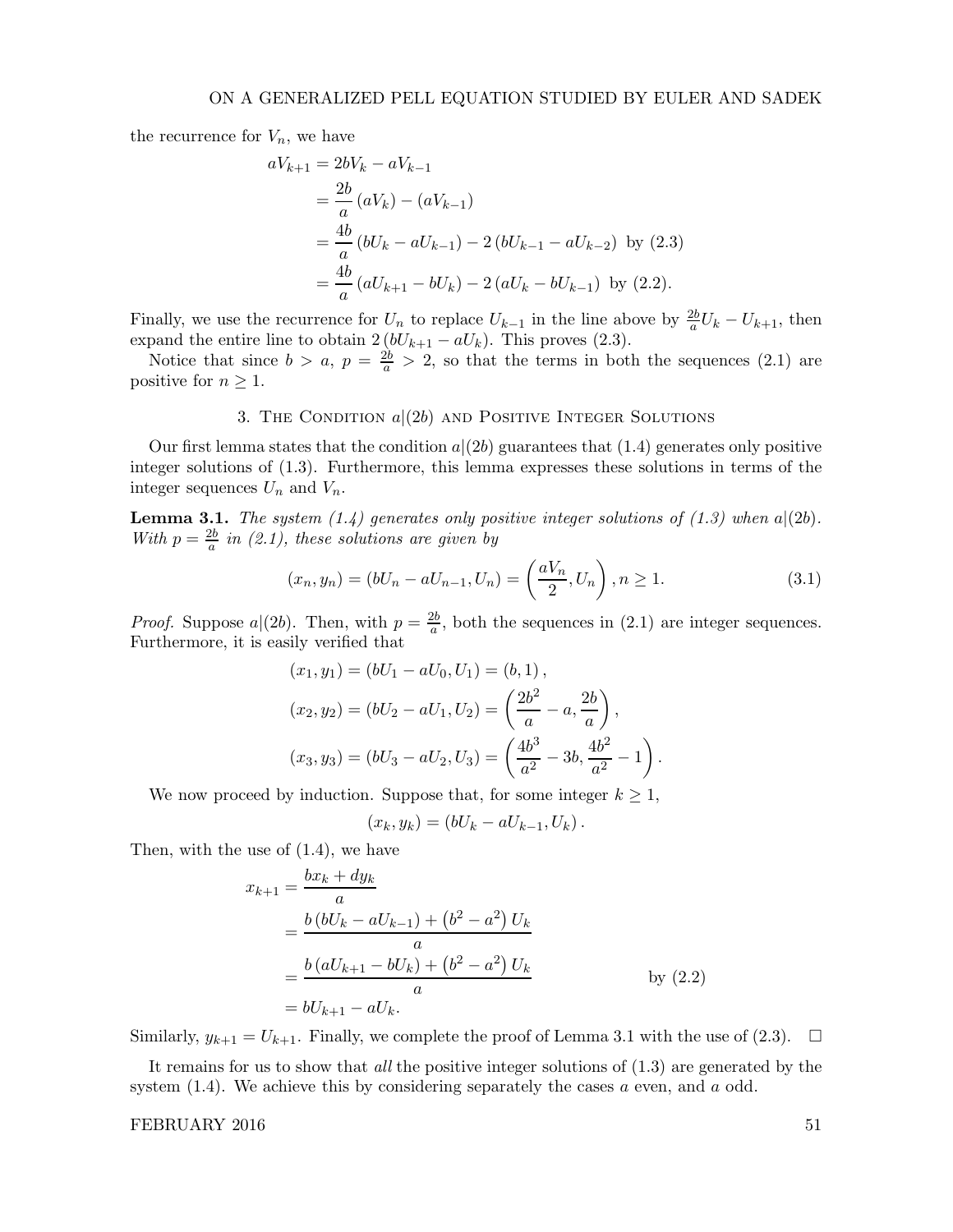the recurrence for  $V_n$ , we have

$$
aV_{k+1} = 2bV_k - aV_{k-1}
$$
  
=  $\frac{2b}{a} (aV_k) - (aV_{k-1})$   
=  $\frac{4b}{a} (bU_k - aU_{k-1}) - 2 (bU_{k-1} - aU_{k-2})$  by (2.3)  
=  $\frac{4b}{a} (aU_{k+1} - bU_k) - 2 (aU_k - bU_{k-1})$  by (2.2).

Finally, we use the recurrence for  $U_n$  to replace  $U_{k-1}$  in the line above by  $\frac{2b}{a}U_k - U_{k+1}$ , then expand the entire line to obtain  $2 (bU_{k+1} - aU_k)$ . This proves (2.3).

Notice that since  $b > a$ ,  $p = \frac{2b}{a} > 2$ , so that the terms in both the sequences (2.1) are positive for  $n \geq 1$ .

# 3. THE CONDITION  $a|(2b)$  and POSITIVE INTEGER SOLUTIONS

Our first lemma states that the condition  $a|(2b)$  guarantees that  $(1.4)$  generates only positive integer solutions of (1.3). Furthermore, this lemma expresses these solutions in terms of the integer sequences  $U_n$  and  $V_n$ .

**Lemma 3.1.** The system  $(1.4)$  generates only positive integer solutions of  $(1.3)$  when  $a|(2b)$ . With  $p = \frac{2b}{a}$  $\frac{2b}{a}$  in (2.1), these solutions are given by

$$
(x_n, y_n) = (bU_n - aU_{n-1}, U_n) = \left(\frac{aV_n}{2}, U_n\right), n \ge 1.
$$
 (3.1)

*Proof.* Suppose  $a|(2b)$ . Then, with  $p = \frac{2b}{a}$  $\frac{2b}{a}$ , both the sequences in (2.1) are integer sequences. Furthermore, it is easily verified that

$$
(x_1, y_1) = (bU_1 - aU_0, U_1) = (b, 1),
$$
  
\n
$$
(x_2, y_2) = (bU_2 - aU_1, U_2) = \left(\frac{2b^2}{a} - a, \frac{2b}{a}\right),
$$
  
\n
$$
(x_3, y_3) = (bU_3 - aU_2, U_3) = \left(\frac{4b^3}{a^2} - 3b, \frac{4b^2}{a^2} - 1\right).
$$

We now proceed by induction. Suppose that, for some integer  $k \geq 1$ ,

$$
(x_k, y_k) = (bU_k - aU_{k-1}, U_k).
$$

Then, with the use of (1.4), we have

$$
x_{k+1} = \frac{bx_k + dy_k}{a}
$$
  
=  $\frac{b (bU_k - aU_{k-1}) + (b^2 - a^2) U_k}{a}$   
=  $\frac{b (aU_{k+1} - bU_k) + (b^2 - a^2) U_k}{a}$  by (2.2)  
=  $bU_{k+1} - aU_k$ .

Similarly,  $y_{k+1} = U_{k+1}$ . Finally, we complete the proof of Lemma 3.1 with the use of (2.3).  $\Box$ 

It remains for us to show that *all* the positive integer solutions of  $(1.3)$  are generated by the system  $(1.4)$ . We achieve this by considering separately the cases a even, and a odd.

## FEBRUARY 2016 51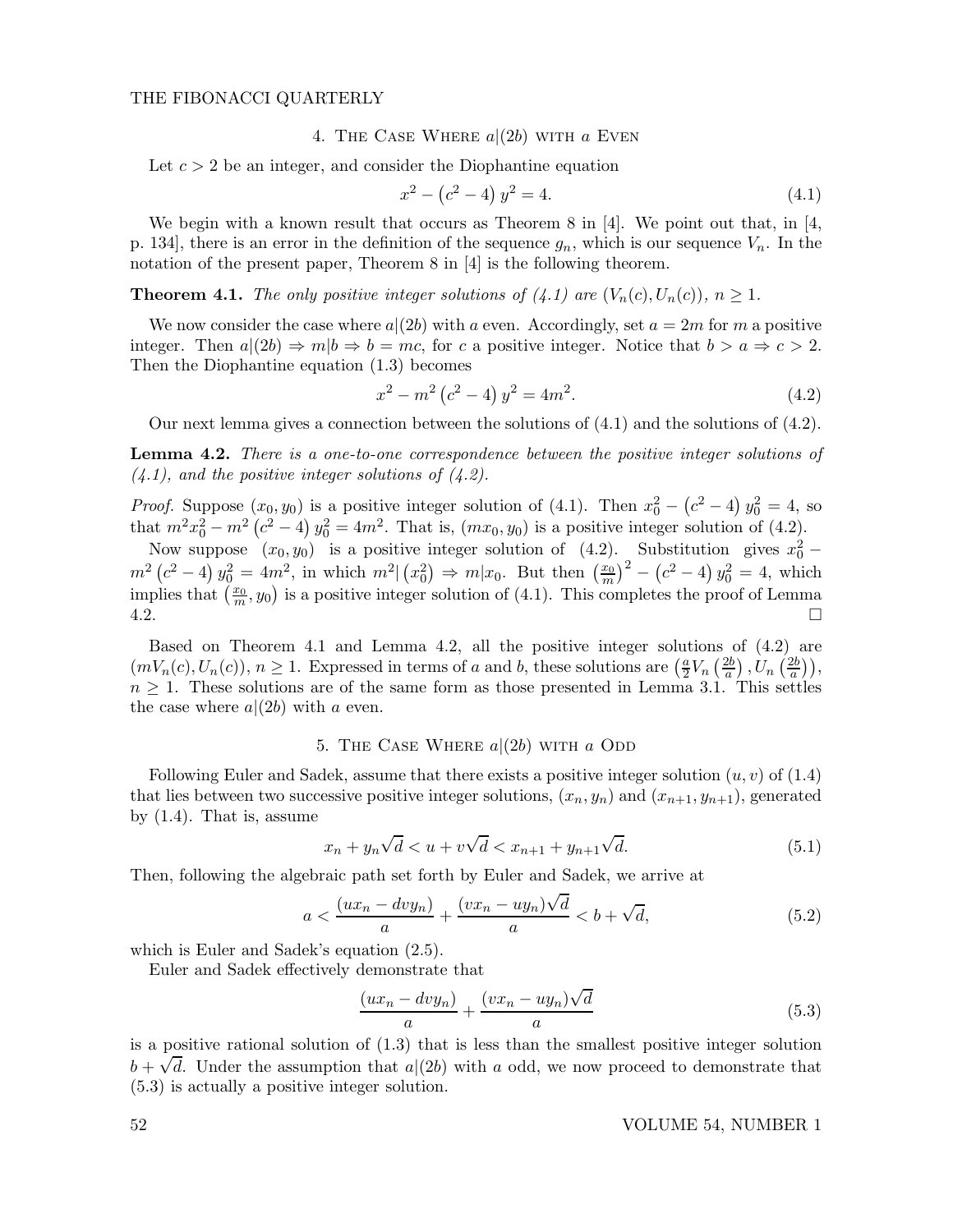#### THE FIBONACCI QUARTERLY

## 4. THE CASE WHERE  $a|(2b)$  with a Even

Let  $c > 2$  be an integer, and consider the Diophantine equation

$$
x^2 - (c^2 - 4) y^2 = 4.
$$
\n(4.1)

We begin with a known result that occurs as Theorem 8 in [4]. We point out that, in [4, p. 134, there is an error in the definition of the sequence  $g_n$ , which is our sequence  $V_n$ . In the notation of the present paper, Theorem 8 in [4] is the following theorem.

**Theorem 4.1.** The only positive integer solutions of (4.1) are  $(V_n(c), U_n(c))$ ,  $n \geq 1$ .

We now consider the case where  $a|(2b)$  with a even. Accordingly, set  $a = 2m$  for m a positive integer. Then  $a|(2b) \Rightarrow m|b \Rightarrow b = mc$ , for c a positive integer. Notice that  $b > a \Rightarrow c > 2$ . Then the Diophantine equation (1.3) becomes

$$
x^{2} - m^{2} (c^{2} - 4) y^{2} = 4m^{2}.
$$
 (4.2)

Our next lemma gives a connection between the solutions of (4.1) and the solutions of (4.2).

**Lemma 4.2.** There is a one-to-one correspondence between the positive integer solutions of  $(4.1)$ , and the positive integer solutions of  $(4.2)$ .

*Proof.* Suppose  $(x_0, y_0)$  is a positive integer solution of (4.1). Then  $x_0^2 - (c^2 - 4) y_0^2 = 4$ , so that  $m^2x_0^2 - m^2(c^2 - 4) y_0^2 = 4m^2$ . That is,  $(mx_0, y_0)$  is a positive integer solution of (4.2).

Now suppose  $(x_0, y_0)$  is a positive integer solution of (4.2). Substitution gives  $x_0^2$  –  $m^2(c^2-4)y_0^2 = 4m^2$ , in which  $m^2|(x_0^2) \Rightarrow m|x_0$ . But then  $(\frac{x_0}{m})^2 - (c^2-4)y_0^2 = 4$ , which implies that  $(\frac{x_0}{m}, y_0)$  is a positive integer solution of (4.1). This completes the proof of Lemma  $4.2.$ 

Based on Theorem 4.1 and Lemma 4.2, all the positive integer solutions of (4.2) are  $(mV_n(c), U_n(c)), n \geq 1$ . Expressed in terms of a and b, these solutions are  $\left(\frac{a}{2}V_n\right)\left(\frac{2b}{a}\right)$  $\left(\frac{2b}{a}\right), U_n\left(\frac{2b}{a}\right)$  $\frac{2b}{a}$ )),  $n \geq 1$ . These solutions are of the same form as those presented in Lemma 3.1. This settles the case where  $a|(2b)$  with a even.

## 5. THE CASE WHERE  $a|(2b)$  with a ODD

Following Euler and Sadek, assume that there exists a positive integer solution  $(u, v)$  of  $(1.4)$ that lies between two successive positive integer solutions,  $(x_n, y_n)$  and  $(x_{n+1}, y_{n+1})$ , generated by (1.4). That is, assume

$$
x_n + y_n \sqrt{d} < u + v \sqrt{d} < x_{n+1} + y_{n+1} \sqrt{d}.\tag{5.1}
$$

Then, following the algebraic path set forth by Euler and Sadek, we arrive at

$$
a < \frac{(ux_n - dvy_n)}{a} + \frac{(vx_n - uy_n)\sqrt{d}}{a} < b + \sqrt{d},\tag{5.2}
$$

which is Euler and Sadek's equation (2.5).

Euler and Sadek effectively demonstrate that

$$
\frac{(ux_n - dvy_n)}{a} + \frac{(vx_n - uy_n)\sqrt{d}}{a} \tag{5.3}
$$

is a positive rational solution of (1.3) that is less than the smallest positive integer solution  $b + \sqrt{d}$ . Under the assumption that  $a|(2b)$  with a odd, we now proceed to demonstrate that (5.3) is actually a positive integer solution.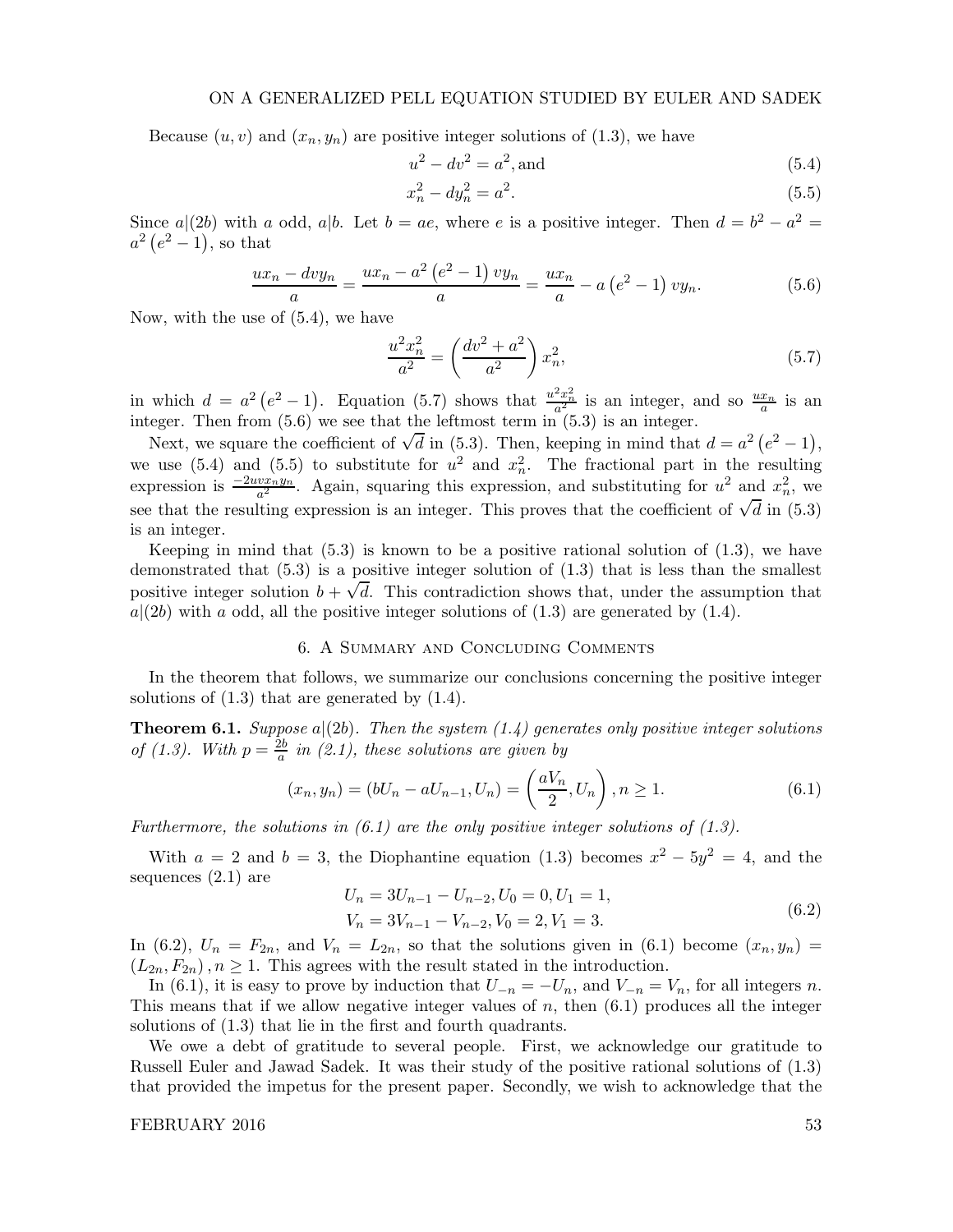Because  $(u, v)$  and  $(x_n, y_n)$  are positive integer solutions of  $(1.3)$ , we have

$$
u^2 - dv^2 = a^2, \text{and} \tag{5.4}
$$

$$
x_n^2 - dy_n^2 = a^2. \tag{5.5}
$$

Since  $a|(2b)$  with a odd,  $a|b$ . Let  $b = ae$ , where e is a positive integer. Then  $d = b^2 - a^2 = a$ .  $a^2(e^2-1)$ , so that

$$
\frac{ux_n - dvy_n}{a} = \frac{ux_n - a^2 (e^2 - 1) v y_n}{a} = \frac{ux_n}{a} - a (e^2 - 1) v y_n.
$$
 (5.6)

Now, with the use of (5.4), we have

$$
\frac{u^2 x_n^2}{a^2} = \left(\frac{dv^2 + a^2}{a^2}\right) x_n^2,\tag{5.7}
$$

in which  $d = a^2 (e^2 - 1)$ . Equation (5.7) shows that  $\frac{u^2 x_n^2}{a^2}$  is an integer, and so  $\frac{ux_n}{a}$  is an integer. Then from (5.6) we see that the leftmost term in (5.3) is an integer.

Next, we square the coefficient of  $\sqrt{d}$  in (5.3). Then, keeping in mind that  $d = a^2 (e^2 - 1)$ , we use (5.4) and (5.5) to substitute for  $u^2$  and  $x_n^2$ . The fractional part in the resulting expression is  $\frac{-2uvx_n^2y_n}{a^2}$ . Again, squaring this expression, and substituting for  $u^2$  and  $x_n^2$ , we see that the resulting expression is an integer. This proves that the coefficient of  $\sqrt{d}$  in (5.3) is an integer.

Keeping in mind that  $(5.3)$  is known to be a positive rational solution of  $(1.3)$ , we have demonstrated that  $(5.3)$  is a positive integer solution of  $(1.3)$  that is less than the smallest positive integer solution  $b + \sqrt{d}$ . This contradiction shows that, under the assumption that  $a|(2b)$  with a odd, all the positive integer solutions of  $(1.3)$  are generated by  $(1.4)$ .

#### 6. A Summary and Concluding Comments

In the theorem that follows, we summarize our conclusions concerning the positive integer solutions of  $(1.3)$  that are generated by  $(1.4)$ .

**Theorem 6.1.** Suppose  $a|(2b)$ . Then the system  $(1.4)$  generates only positive integer solutions of (1.3). With  $p = \frac{2b}{a}$  $\frac{2b}{a}$  in (2.1), these solutions are given by

$$
(x_n, y_n) = (bU_n - aU_{n-1}, U_n) = \left(\frac{aV_n}{2}, U_n\right), n \ge 1.
$$
 (6.1)

Furthermore, the solutions in  $(6.1)$  are the only positive integer solutions of  $(1.3)$ .

With  $a = 2$  and  $b = 3$ , the Diophantine equation (1.3) becomes  $x^2 - 5y^2 = 4$ , and the sequences (2.1) are

$$
U_n = 3U_{n-1} - U_{n-2}, U_0 = 0, U_1 = 1,
$$
  
\n
$$
V_n = 3V_{n-1} - V_{n-2}, V_0 = 2, V_1 = 3.
$$
\n(6.2)

In (6.2),  $U_n = F_{2n}$ , and  $V_n = L_{2n}$ , so that the solutions given in (6.1) become  $(x_n, y_n)$  $(L_{2n}, F_{2n}), n \ge 1$ . This agrees with the result stated in the introduction.

In (6.1), it is easy to prove by induction that  $U_{-n} = -U_n$ , and  $V_{-n} = V_n$ , for all integers n. This means that if we allow negative integer values of  $n$ , then  $(6.1)$  produces all the integer solutions of (1.3) that lie in the first and fourth quadrants.

We owe a debt of gratitude to several people. First, we acknowledge our gratitude to Russell Euler and Jawad Sadek. It was their study of the positive rational solutions of (1.3) that provided the impetus for the present paper. Secondly, we wish to acknowledge that the

FEBRUARY 2016 53